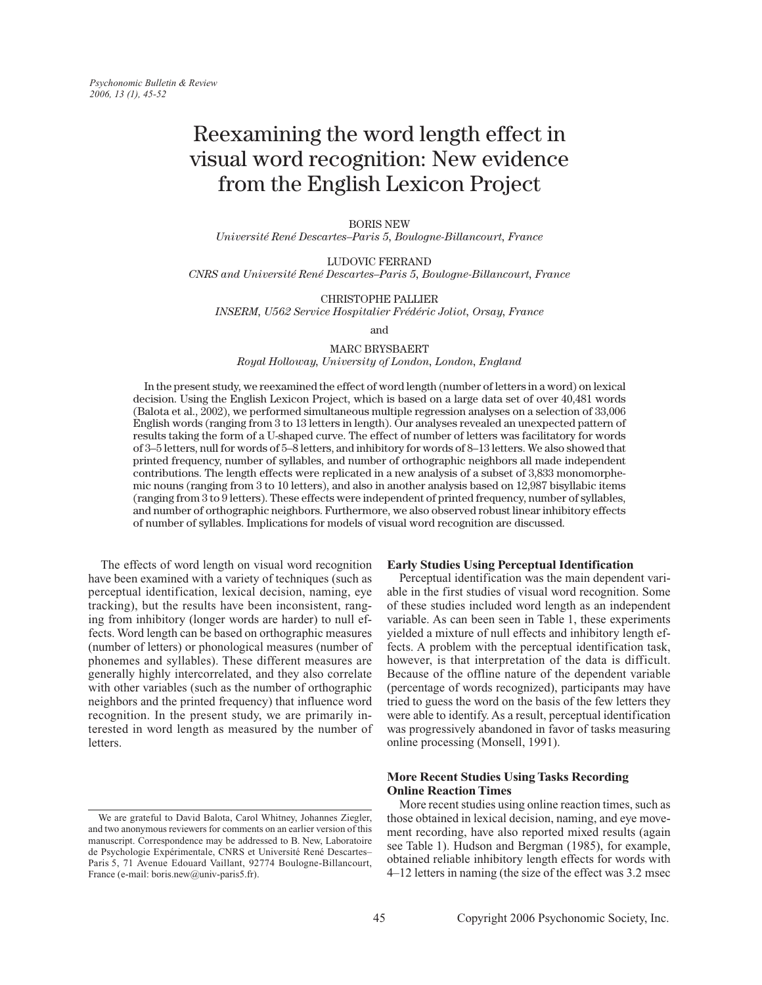# Reexamining the word length effect in visual word recognition: New evidence from the English Lexicon Project

**BORIS NEW** 

Université René Descartes-Paris 5, Boulogne-Billancourt, France

LUDOVIC FERRAND CNRS and Université René Descartes-Paris 5, Boulogne-Billancourt, France

**CHRISTOPHE PALLIER** INSERM, U562 Service Hospitalier Frédéric Joliot, Orsay, France

and

**MARC BRYSBAERT** 

Royal Holloway, University of London, London, England

In the present study, we reexamined the effect of word length (number of letters in a word) on lexical decision. Using the English Lexicon Project, which is based on a large data set of over 40,481 words (Balota et al., 2002), we performed simultaneous multiple regression analyses on a selection of 33,006 English words (ranging from 3 to 13 letters in length). Our analyses revealed an unexpected pattern of results taking the form of a U-shaped curve. The effect of number of letters was facilitatory for words of 3-5 letters, null for words of 5-8 letters, and inhibitory for words of 8-13 letters. We also showed that printed frequency, number of syllables, and number of orthographic neighbors all made independent contributions. The length effects were replicated in a new analysis of a subset of 3,833 monomorphemic nouns (ranging from 3 to 10 letters), and also in another analysis based on 12,987 bisyllabic items (ranging from 3 to 9 letters). These effects were independent of printed frequency, number of syllables, and number of orthographic neighbors. Furthermore, we also observed robust linear inhibitory effects of number of syllables. Implications for models of visual word recognition are discussed.

The effects of word length on visual word recognition have been examined with a variety of techniques (such as perceptual identification, lexical decision, naming, eye tracking), but the results have been inconsistent, ranging from inhibitory (longer words are harder) to null effects. Word length can be based on orthographic measures (number of letters) or phonological measures (number of phonemes and syllables). These different measures are generally highly intercorrelated, and they also correlate with other variables (such as the number of orthographic neighbors and the printed frequency) that influence word recognition. In the present study, we are primarily interested in word length as measured by the number of letters

### **Early Studies Using Perceptual Identification**

Perceptual identification was the main dependent variable in the first studies of visual word recognition. Some of these studies included word length as an independent variable. As can been seen in Table 1, these experiments yielded a mixture of null effects and inhibitory length effects. A problem with the perceptual identification task, however, is that interpretation of the data is difficult. Because of the offline nature of the dependent variable (percentage of words recognized), participants may have tried to guess the word on the basis of the few letters they were able to identify. As a result, perceptual identification was progressively abandoned in favor of tasks measuring online processing (Monsell, 1991).

## **More Recent Studies Using Tasks Recording Online Reaction Times**

More recent studies using online reaction times, such as those obtained in lexical decision, naming, and eye movement recording, have also reported mixed results (again see Table 1). Hudson and Bergman (1985), for example, obtained reliable inhibitory length effects for words with 4–12 letters in naming (the size of the effect was 3.2 msec

We are grateful to David Balota, Carol Whitney, Johannes Ziegler, and two anonymous reviewers for comments on an earlier version of this manuscript. Correspondence may be addressed to B. New, Laboratoire de Psychologie Expérimentale, CNRS et Université René Descartes-Paris 5, 71 Avenue Edouard Vaillant, 92774 Boulogne-Billancourt, France (e-mail: boris.new@univ-paris5.fr).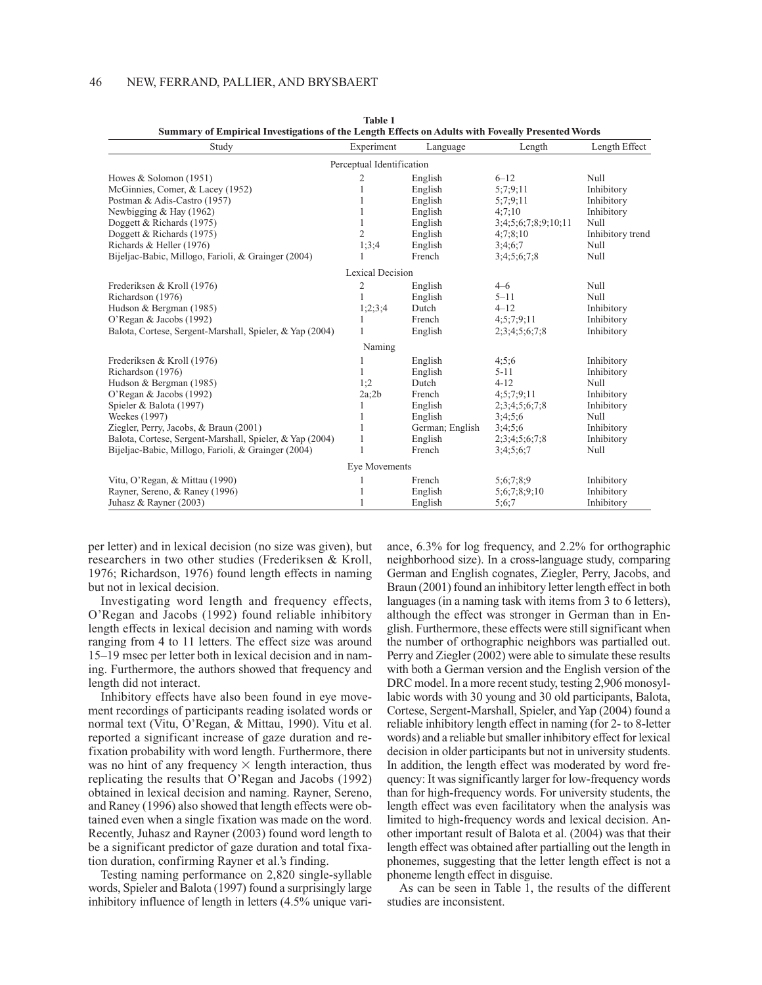| Study                                                    | Experiment                | Language        | Length              | Length Effect    |
|----------------------------------------------------------|---------------------------|-----------------|---------------------|------------------|
|                                                          | Perceptual Identification |                 |                     |                  |
| Howes & Solomon (1951)                                   | 2                         | English         | $6 - 12$            | Null             |
| McGinnies, Comer, & Lacey (1952)                         | 1                         | English         | 5:7:9:11            | Inhibitory       |
| Postman & Adis-Castro (1957)                             | 1                         | English         | 5:7:9:11            | Inhibitory       |
| Newbigging & Hay (1962)                                  | 1                         | English         | 4:7:10              | Inhibitory       |
| Doggett & Richards (1975)                                | 1                         | English         | 3;4;5;6;7;8;9;10;11 | Null             |
| Doggett & Richards (1975)                                | $\overline{2}$            | English         | 4;7;8;10            | Inhibitory trend |
| Richards & Heller (1976)                                 | 1;3;4                     | English         | 3;4;6;7             | Null             |
| Bijeljac-Babic, Millogo, Farioli, & Grainger (2004)      |                           | French          | 3;4;5;6;7;8         | Null             |
|                                                          | Lexical Decision          |                 |                     |                  |
| Frederiksen & Kroll (1976)                               | 2                         | English         | $4 - 6$             | Null             |
| Richardson (1976)                                        | 1                         | English         | $5 - 11$            | Null             |
| Hudson & Bergman (1985)                                  | 1;2;3;4                   | Dutch           | $4 - 12$            | Inhibitory       |
| O'Regan & Jacobs (1992)                                  |                           | French          | 4;5;7;9;11          | Inhibitory       |
| Balota, Cortese, Sergent-Marshall, Spieler, & Yap (2004) | 1                         | English         | 2;3;4;5;6;7;8       | Inhibitory       |
|                                                          | Naming                    |                 |                     |                  |
| Frederiksen & Kroll (1976)                               | 1                         | English         | 4:5:6               | Inhibitory       |
| Richardson (1976)                                        | 1                         | English         | $5 - 11$            | Inhibitory       |
| Hudson & Bergman (1985)                                  | 1:2                       | Dutch           | $4 - 12$            | Null             |
| O'Regan & Jacobs (1992)                                  | 2a;2b                     | French          | 4;5;7;9;11          | Inhibitory       |
| Spieler & Balota (1997)                                  | 1                         | English         | 2;3;4;5;6;7;8       | Inhibitory       |
| Weekes (1997)                                            |                           | English         | 3;4;5;6             | Null             |
| Ziegler, Perry, Jacobs, & Braun (2001)                   |                           | German; English | 3;4;5;6             | Inhibitory       |
| Balota, Cortese, Sergent-Marshall, Spieler, & Yap (2004) | $\mathbf{1}$              | English         | 2;3;4;5;6;7;8       | Inhibitory       |
| Bijeljac-Babic, Millogo, Farioli, & Grainger (2004)      |                           | French          | 3:4:5:6:7           | Null             |
|                                                          | Eye Movements             |                 |                     |                  |
| Vitu, O'Regan, & Mittau (1990)                           |                           | French          | 5:6:7:8:9           | Inhibitory       |
| Rayner, Sereno, & Raney (1996)                           | 1                         | English         | 5;6;7;8;9;10        | Inhibitory       |
| Juhasz & Rayner $(2003)$                                 | 1                         | English         | 5:6;7               | Inhibitory       |

**Table 1** Summary of Empirical Investigations of the Length Effects on Adults with Foveally Presented Words

per letter) and in lexical decision (no size was given), but researchers in two other studies (Frederiksen & Kroll, 1976; Richardson, 1976) found length effects in naming but not in lexical decision.

Investigating word length and frequency effects, O'Regan and Jacobs (1992) found reliable inhibitory length effects in lexical decision and naming with words ranging from 4 to 11 letters. The effect size was around 15–19 msec per letter both in lexical decision and in naming. Furthermore, the authors showed that frequency and length did not interact.

Inhibitory effects have also been found in eye movement recordings of participants reading isolated words or normal text (Vitu, O'Regan, & Mittau, 1990). Vitu et al. reported a significant increase of gaze duration and refixation probability with word length. Furthermore, there was no hint of any frequency  $\times$  length interaction, thus replicating the results that O'Regan and Jacobs (1992) obtained in lexical decision and naming. Rayner, Sereno, and Raney (1996) also showed that length effects were obtained even when a single fixation was made on the word. Recently, Juhasz and Rayner (2003) found word length to be a significant predictor of gaze duration and total fixation duration, confirming Rayner et al.'s finding.

Testing naming performance on 2,820 single-syllable words, Spieler and Balota (1997) found a surprisingly large inhibitory influence of length in letters (4.5% unique vari-

ance, 6.3% for log frequency, and 2.2% for orthographic neighborhood size). In a cross-language study, comparing German and English cognates, Ziegler, Perry, Jacobs, and Braun (2001) found an inhibitory letter length effect in both languages (in a naming task with items from 3 to 6 letters), although the effect was stronger in German than in English. Furthermore, these effects were still significant when the number of orthographic neighbors was partialled out. Perry and Ziegler (2002) were able to simulate these results with both a German version and the English version of the DRC model. In a more recent study, testing 2,906 monosyllabic words with 30 young and 30 old participants, Balota, Cortese, Sergent-Marshall, Spieler, and Yap (2004) found a reliable inhibitory length effect in naming (for 2- to 8-letter words) and a reliable but smaller inhibitory effect for lexical decision in older participants but not in university students. In addition, the length effect was moderated by word frequency: It was significantly larger for low-frequency words than for high-frequency words. For university students, the length effect was even facilitatory when the analysis was limited to high-frequency words and lexical decision. Another important result of Balota et al. (2004) was that their length effect was obtained after partialling out the length in phonemes, suggesting that the letter length effect is not a phoneme length effect in disguise.

As can be seen in Table 1, the results of the different studies are inconsistent.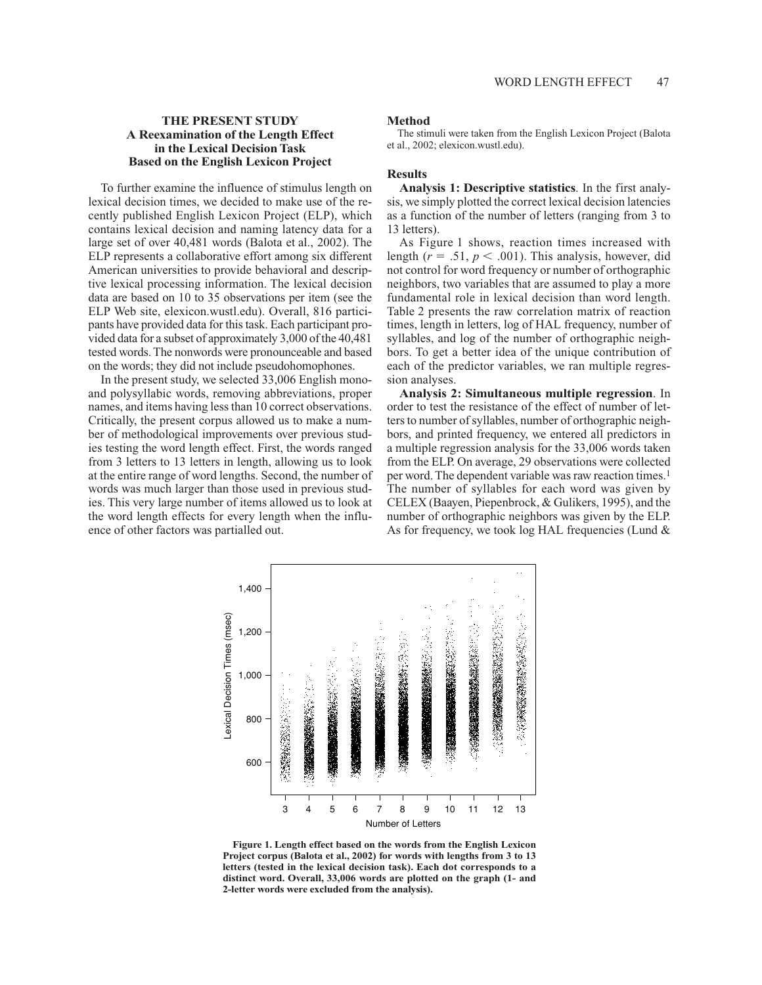# **THE PRESENT STUDY** A Reexamination of the Length Effect in the Lexical Decision Task **Based on the English Lexicon Project**

To further examine the influence of stimulus length on lexical decision times, we decided to make use of the recently published English Lexicon Project (ELP), which contains lexical decision and naming latency data for a large set of over 40,481 words (Balota et al., 2002). The ELP represents a collaborative effort among six different American universities to provide behavioral and descriptive lexical processing information. The lexical decision data are based on 10 to 35 observations per item (see the ELP Web site, elexicon.wustl.edu). Overall, 816 participants have provided data for this task. Each participant provided data for a subset of approximately 3,000 of the 40,481 tested words. The nonwords were pronounceable and based on the words; they did not include pseudohomophones.

In the present study, we selected 33,006 English monoand polysyllabic words, removing abbreviations, proper names, and items having less than 10 correct observations. Critically, the present corpus allowed us to make a number of methodological improvements over previous studies testing the word length effect. First, the words ranged from 3 letters to 13 letters in length, allowing us to look at the entire range of word lengths. Second, the number of words was much larger than those used in previous studies. This very large number of items allowed us to look at the word length effects for every length when the influence of other factors was partialled out.

### **Method**

The stimuli were taken from the English Lexicon Project (Balota et al., 2002; elexicon.wustl.edu).

## **Results**

Analysis 1: Descriptive statistics. In the first analysis, we simply plotted the correct lexical decision latencies as a function of the number of letters (ranging from 3 to 13 letters).

As Figure 1 shows, reaction times increased with length ( $r = .51$ ,  $p < .001$ ). This analysis, however, did not control for word frequency or number of orthographic neighbors, two variables that are assumed to play a more fundamental role in lexical decision than word length. Table 2 presents the raw correlation matrix of reaction times, length in letters, log of HAL frequency, number of syllables, and log of the number of orthographic neighbors. To get a better idea of the unique contribution of each of the predictor variables, we ran multiple regression analyses.

Analysis 2: Simultaneous multiple regression. In order to test the resistance of the effect of number of letters to number of syllables, number of orthographic neighbors, and printed frequency, we entered all predictors in a multiple regression analysis for the 33,006 words taken from the ELP. On average, 29 observations were collected per word. The dependent variable was raw reaction times.<sup>1</sup> The number of syllables for each word was given by CELEX (Baayen, Piepenbrock, & Gulikers, 1995), and the number of orthographic neighbors was given by the ELP. As for frequency, we took log HAL frequencies (Lund &



Figure 1. Length effect based on the words from the English Lexicon Project corpus (Balota et al., 2002) for words with lengths from 3 to 13 letters (tested in the lexical decision task). Each dot corresponds to a distinct word. Overall, 33,006 words are plotted on the graph (1- and 2-letter words were excluded from the analysis).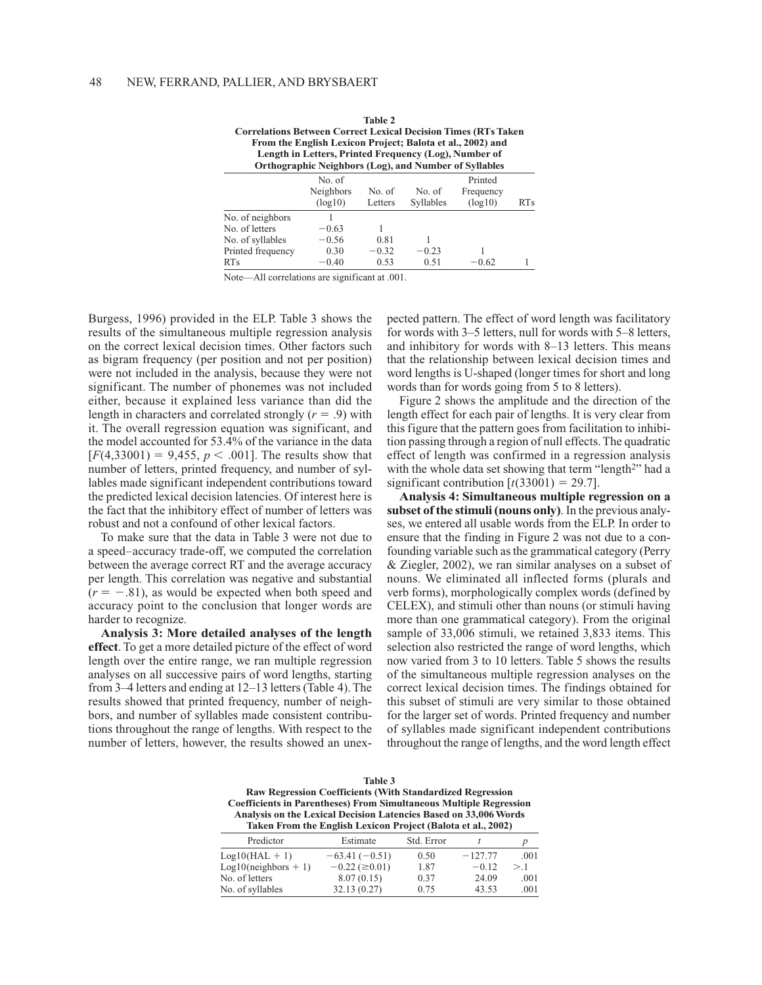| Table 2                                                                |   |
|------------------------------------------------------------------------|---|
| <b>Correlations Between Correct Lexical Decision Times (RTs Taken)</b> |   |
| From the English Lexicon Project; Balota et al., 2002) and             |   |
| Length in Letters, Printed Frequency (Log), Number of                  |   |
| <b>Orthographic Neighbors (Log), and Number of Syllables</b>           |   |
| $NT - C$                                                               | D |

|                   | No. of    |         |           | Printed   |                 |  |
|-------------------|-----------|---------|-----------|-----------|-----------------|--|
|                   | Neighbors | No. of  | No. of    | Frequency |                 |  |
|                   | (log10)   | Letters | Syllables | (log10)   | RT <sub>s</sub> |  |
| No. of neighbors  |           |         |           |           |                 |  |
| No. of letters    | $-0.63$   |         |           |           |                 |  |
| No. of syllables  | $-0.56$   | 0.81    |           |           |                 |  |
| Printed frequency | 0.30      | $-0.32$ | $-0.23$   |           |                 |  |
| <b>RTs</b>        | $-0.40$   | 0.53    | 0.51      | $-0.62$   |                 |  |

Note—All correlations are significant at .001.

Burgess, 1996) provided in the ELP. Table 3 shows the results of the simultaneous multiple regression analysis on the correct lexical decision times. Other factors such as bigram frequency (per position and not per position) were not included in the analysis, because they were not significant. The number of phonemes was not included either, because it explained less variance than did the length in characters and correlated strongly ( $r = .9$ ) with it. The overall regression equation was significant, and the model accounted for 53.4% of the variance in the data  $[F(4,33001) = 9,455, p < .001]$ . The results show that number of letters, printed frequency, and number of syllables made significant independent contributions toward the predicted lexical decision latencies. Of interest here is the fact that the inhibitory effect of number of letters was robust and not a confound of other lexical factors.

To make sure that the data in Table 3 were not due to a speed-accuracy trade-off, we computed the correlation between the average correct RT and the average accuracy per length. This correlation was negative and substantial  $(r = -.81)$ , as would be expected when both speed and accuracy point to the conclusion that longer words are harder to recognize.

Analysis 3: More detailed analyses of the length effect. To get a more detailed picture of the effect of word length over the entire range, we ran multiple regression analyses on all successive pairs of word lengths, starting from 3–4 letters and ending at 12–13 letters (Table 4). The results showed that printed frequency, number of neighbors, and number of syllables made consistent contributions throughout the range of lengths. With respect to the number of letters, however, the results showed an unexpected pattern. The effect of word length was facilitatory for words with 3-5 letters, null for words with 5-8 letters, and inhibitory for words with 8-13 letters. This means that the relationship between lexical decision times and word lengths is U-shaped (longer times for short and long words than for words going from 5 to 8 letters).

Figure 2 shows the amplitude and the direction of the length effect for each pair of lengths. It is very clear from this figure that the pattern goes from facilitation to inhibition passing through a region of null effects. The quadratic effect of length was confirmed in a regression analysis with the whole data set showing that term "length<sup>2</sup>" had a significant contribution  $[t(33001) = 29.7]$ .

Analysis 4: Simultaneous multiple regression on a subset of the stimuli (nouns only). In the previous analyses, we entered all usable words from the ELP. In order to ensure that the finding in Figure 2 was not due to a confounding variable such as the grammatical category (Perry & Ziegler, 2002), we ran similar analyses on a subset of nouns. We eliminated all inflected forms (plurals and verb forms), morphologically complex words (defined by CELEX), and stimuli other than nouns (or stimuli having more than one grammatical category). From the original sample of 33,006 stimuli, we retained 3,833 items. This selection also restricted the range of word lengths, which now varied from 3 to 10 letters. Table 5 shows the results of the simultaneous multiple regression analyses on the correct lexical decision times. The findings obtained for this subset of stimuli are very similar to those obtained for the larger set of words. Printed frequency and number of syllables made significant independent contributions throughout the range of lengths, and the word length effect

| Table 3                                                                   |
|---------------------------------------------------------------------------|
| <b>Raw Regression Coefficients (With Standardized Regression)</b>         |
| <b>Coefficients in Parentheses) From Simultaneous Multiple Regression</b> |
| Analysis on the Lexical Decision Latencies Based on 33,006 Words          |
| Taken From the English Lexicon Project (Balota et al., 2002)              |

| Estimate                | Std. Error |           |      |
|-------------------------|------------|-----------|------|
| $-63.41(-0.51)$         | 0.50       | $-127.77$ | .001 |
| $-0.22$ ( $\geq 0.01$ ) | 1.87       | $-0.12$   | >1   |
| 8.07(0.15)              | 0.37       | 24.09     | .001 |
| 32.13(0.27)             | 0.75       | 43.53     | .001 |
|                         |            |           |      |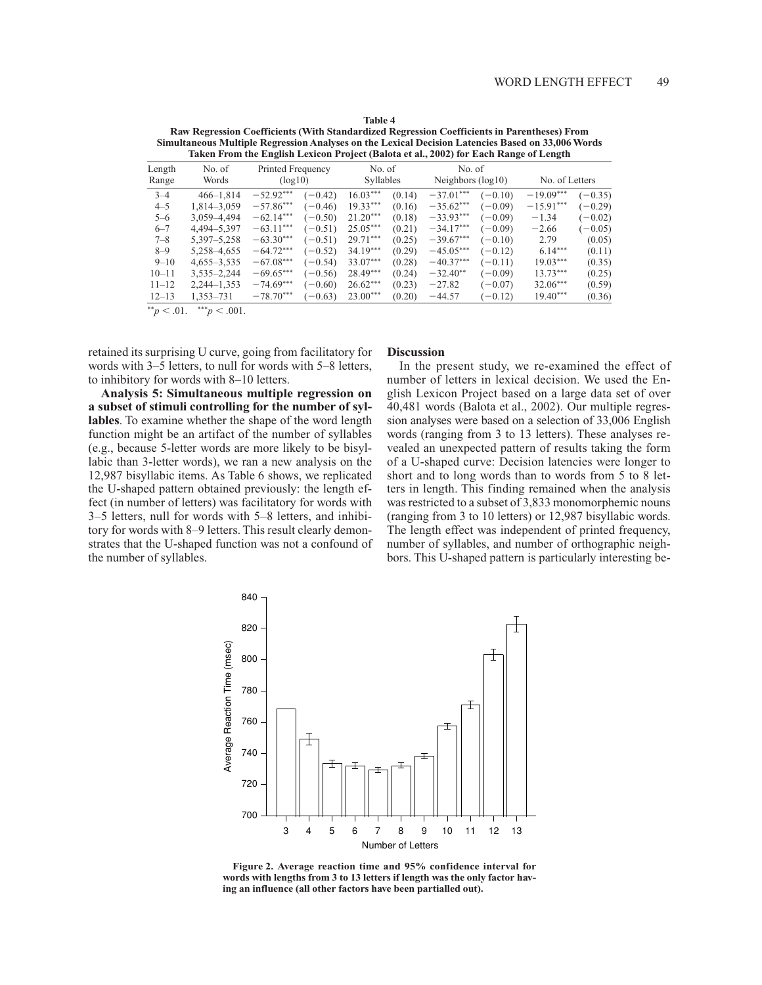|                 | Taken From the English Lexicon Project (Balota et al., 2002) for Each Range of Length |                              |         |                            |        |                                |           |                |           |
|-----------------|---------------------------------------------------------------------------------------|------------------------------|---------|----------------------------|--------|--------------------------------|-----------|----------------|-----------|
| Length<br>Range | No. of<br>Words                                                                       | Printed Frequency<br>(log10) |         | No. of<br><b>Syllables</b> |        | No. of<br>Neighbors $(log 10)$ |           | No. of Letters |           |
| $3 - 4$         | $466 - 1.814$                                                                         | $-52.92***$                  | $-0.42$ | $16.03***$                 | (0.14) | $-37.01***$                    | $(-0.10)$ | $-19.09***$    | $(-0.35)$ |
| $4 - 5$         | 1,814-3,059                                                                           | $-57.86***$                  | $-0.46$ | $19.33***$                 | (0.16) | $-35.62***$                    | $(-0.09)$ | $-15.91***$    | $(-0.29)$ |
| $5 - 6$         | 3.059-4.494                                                                           | $-62.14***$                  | $-0.50$ | $21.20***$                 | (0.18) | $-33.93***$                    | $(-0.09)$ | $-1.34$        | $(-0.02)$ |
| $6 - 7$         | 4,494-5,397                                                                           | $-63.11***$                  | $-0.51$ | $25.05***$                 | (0.21) | $-34.17***$                    | $(-0.09)$ | $-2.66$        | $(-0.05)$ |
| $7 - 8$         | 5,397-5,258                                                                           | $-63.30***$                  | $-0.51$ | $29.71***$                 | (0.25) | $-39.67***$                    | $(-0.10)$ | 2.79           | (0.05)    |
| $8 - 9$         | 5.258-4.655                                                                           | $-64.72***$                  | $-0.52$ | $34.19***$                 | (0.29) | $-45.05***$                    | $(-0.12)$ | $6.14***$      | (0.11)    |
| $9 - 10$        | $4,655 - 3,535$                                                                       | $-67.08***$                  | $-0.54$ | $33.07***$                 | (0.28) | $-40.37***$                    | $(-0.11)$ | $19.03***$     | (0.35)    |
| $10 - 11$       | $3,535 - 2,244$                                                                       | $-69.65***$                  | $-0.56$ | $28.49***$                 | (0.24) | $-32.40**$                     | $(-0.09)$ | $13.73***$     | (0.25)    |
| $11 - 12$       | $2,244 - 1,353$                                                                       | $-74.69***$                  | $-0.60$ | $26.62***$                 | (0.23) | $-27.82$                       | $(-0.07)$ | $32.06***$     | (0.59)    |
| $12 - 13$       | 1,353–731                                                                             | $-78.70***$                  | $-0.63$ | $23.00***$                 | (0.20) | $-44.57$                       | $(-0.12)$ | $19.40***$     | (0.36)    |

Table 4 Raw Regression Coefficients (With Standardized Regression Coefficients in Parentheses) From Simultaneous Multiple Regression Analyses on the Lexical Decision Latencies Based on 33,006 Words

\*\* $p < .01.$  \*\*\* $p < .001.$ 

retained its surprising U curve, going from facilitatory for words with 3-5 letters, to null for words with 5-8 letters, to inhibitory for words with 8-10 letters.

Analysis 5: Simultaneous multiple regression on a subset of stimuli controlling for the number of syllables. To examine whether the shape of the word length function might be an artifact of the number of syllables (e.g., because 5-letter words are more likely to be bisyllabic than 3-letter words), we ran a new analysis on the 12,987 bisyllabic items. As Table 6 shows, we replicated the U-shaped pattern obtained previously: the length effect (in number of letters) was facilitatory for words with 3–5 letters, null for words with 5–8 letters, and inhibitory for words with 8–9 letters. This result clearly demonstrates that the U-shaped function was not a confound of the number of syllables.

## **Discussion**

In the present study, we re-examined the effect of number of letters in lexical decision. We used the English Lexicon Project based on a large data set of over 40,481 words (Balota et al., 2002). Our multiple regression analyses were based on a selection of 33,006 English words (ranging from 3 to 13 letters). These analyses revealed an unexpected pattern of results taking the form of a U-shaped curve: Decision latencies were longer to short and to long words than to words from 5 to 8 letters in length. This finding remained when the analysis was restricted to a subset of 3,833 monomorphemic nouns (ranging from 3 to 10 letters) or 12,987 bisyllabic words. The length effect was independent of printed frequency, number of syllables, and number of orthographic neighbors. This U-shaped pattern is particularly interesting be-



Figure 2. Average reaction time and 95% confidence interval for words with lengths from 3 to 13 letters if length was the only factor having an influence (all other factors have been partialled out).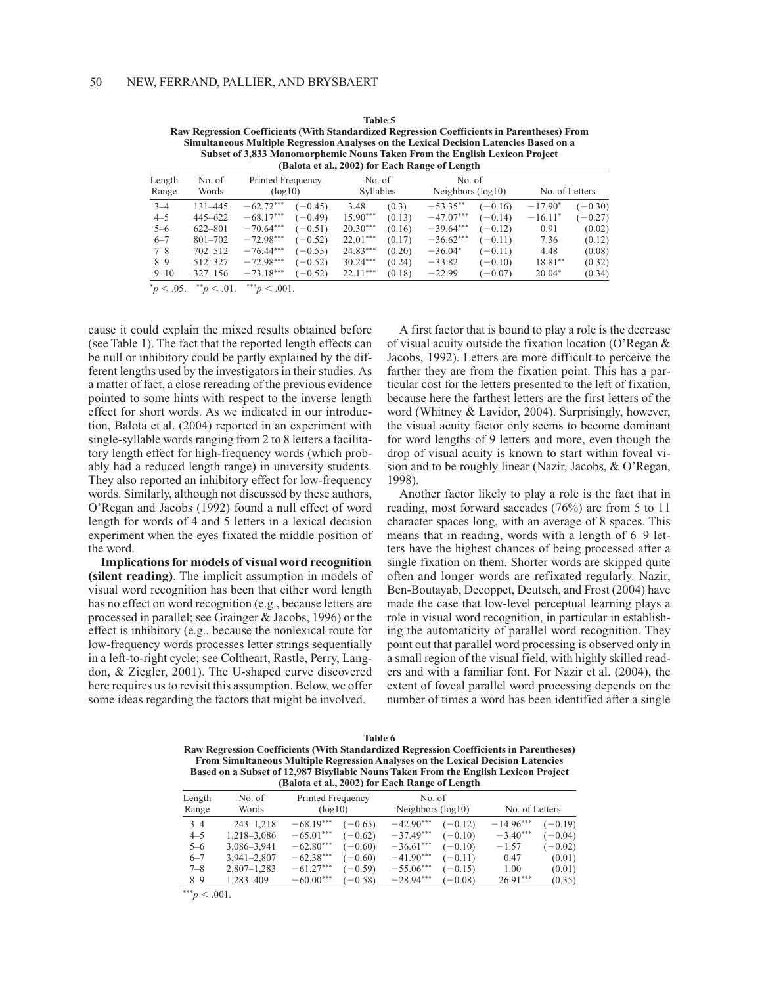| Subset of 3,833 Monomorphemic Nouns Taken From the English Lexicon Project<br>(Balota et al., 2002) for Each Range of Length |                 |                   |           |                  |        |                      |           |                |           |
|------------------------------------------------------------------------------------------------------------------------------|-----------------|-------------------|-----------|------------------|--------|----------------------|-----------|----------------|-----------|
| Length                                                                                                                       | No. of          | Printed Frequency |           | No. of           |        | No. of               |           |                |           |
| Range                                                                                                                        | Words           | (log10)           |           | <b>Syllables</b> |        | Neighbors $(log 10)$ |           | No. of Letters |           |
| $3 - 4$                                                                                                                      | 131-445         | $-62.72***$       | $(-0.45)$ | 3.48             | (0.3)  | $-53.35**$           | $(-0.16)$ | $-17.90*$      | $(-0.30)$ |
| $4 - 5$                                                                                                                      | $445 - 622$     | $-68.17***$       | $(-0.49)$ | $15.90***$       | (0.13) | $-47.07***$          | $(-0.14)$ | $-16.11*$      | $(-0.27)$ |
| $5 - 6$                                                                                                                      | $622 - 801$     | $-70.64***$       | $(-0.51)$ | $20.30***$       | (0.16) | $-39.64***$          | $(-0.12)$ | 0.91           | (0.02)    |
| $6 - 7$                                                                                                                      | $801 - 702$     | $-72.98***$       | $(-0.52)$ | $22.01***$       | (0.17) | $-36.62***$          | $(-0.11)$ | 7.36           | (0.12)    |
| $7 - 8$                                                                                                                      | $702 - 512$     | $-76.44***$       | $(-0.55)$ | 24.83***         | (0.20) | $-36.04*$            | $(-0.11)$ | 4.48           | (0.08)    |
| $8 - 9$                                                                                                                      | 512-327         | $-72.98***$       | $(-0.52)$ | $30.24***$       | (0.24) | $-33.82$             | $(-0.10)$ | 18.81**        | (0.32)    |
| $9 - 10$                                                                                                                     | $327 - 156$     | $-73.18***$       | $(-0.52)$ | $22.11***$       | (0.18) | $-22.99$             | $(-0.07)$ | $20.04*$       | (0.34)    |
| $^*p < .05$ .                                                                                                                | $*^{*}p < .01.$ | *** $p < .001$ .  |           |                  |        |                      |           |                |           |

Table 5 Raw Regression Coefficients (With Standardized Regression Coefficients in Parentheses) From Simultaneous Multiple Regression Analyses on the Lexical Decision Latencies Based on a

cause it could explain the mixed results obtained before (see Table 1). The fact that the reported length effects can be null or inhibitory could be partly explained by the different lengths used by the investigators in their studies. As a matter of fact, a close rereading of the previous evidence pointed to some hints with respect to the inverse length effect for short words. As we indicated in our introduction, Balota et al. (2004) reported in an experiment with single-syllable words ranging from 2 to 8 letters a facilitatory length effect for high-frequency words (which probably had a reduced length range) in university students. They also reported an inhibitory effect for low-frequency words. Similarly, although not discussed by these authors, O'Regan and Jacobs (1992) found a null effect of word length for words of 4 and 5 letters in a lexical decision experiment when the eyes fixated the middle position of the word.

Implications for models of visual word recognition (silent reading). The implicit assumption in models of visual word recognition has been that either word length has no effect on word recognition (e.g., because letters are processed in parallel; see Grainger & Jacobs, 1996) or the effect is inhibitory (e.g., because the nonlexical route for low-frequency words processes letter strings sequentially in a left-to-right cycle; see Coltheart, Rastle, Perry, Langdon, & Ziegler, 2001). The U-shaped curve discovered here requires us to revisit this assumption. Below, we offer some ideas regarding the factors that might be involved.

A first factor that is bound to play a role is the decrease of visual acuity outside the fixation location (O'Regan & Jacobs, 1992). Letters are more difficult to perceive the farther they are from the fixation point. This has a particular cost for the letters presented to the left of fixation, because here the farthest letters are the first letters of the word (Whitney & Lavidor, 2004). Surprisingly, however, the visual acuity factor only seems to become dominant for word lengths of 9 letters and more, even though the drop of visual acuity is known to start within foveal vision and to be roughly linear (Nazir, Jacobs, & O'Regan, 1998).

Another factor likely to play a role is the fact that in reading, most forward saccades  $(76%)$  are from 5 to 11 character spaces long, with an average of 8 spaces. This means that in reading, words with a length of 6–9 letters have the highest chances of being processed after a single fixation on them. Shorter words are skipped quite often and longer words are refixated regularly. Nazir, Ben-Boutayab, Decoppet, Deutsch, and Frost (2004) have made the case that low-level perceptual learning plays a role in visual word recognition, in particular in establishing the automaticity of parallel word recognition. They point out that parallel word processing is observed only in a small region of the visual field, with highly skilled readers and with a familiar font. For Nazir et al. (2004), the extent of foveal parallel word processing depends on the number of times a word has been identified after a single

| Table 6                                                                                |
|----------------------------------------------------------------------------------------|
| Raw Regression Coefficients (With Standardized Regression Coefficients in Parentheses) |
| From Simultaneous Multiple Regression Analyses on the Lexical Decision Latencies       |
| Based on a Subset of 12,987 Bisyllabic Nouns Taken From the English Lexicon Project    |
| (Balota et al., 2002) for Each Range of Length                                         |

| Length  | No. of<br>Words | Printed Frequency        | No. of                   | No. of Letters           |
|---------|-----------------|--------------------------|--------------------------|--------------------------|
| Range   |                 | (log10)                  | Neighbors $(log 10)$     |                          |
| $3 - 4$ | $243 - 1,218$   | $-68.19***$<br>$(-0.65)$ | $-42.90***$<br>$(-0.12)$ | $-14.96***$<br>$(-0.19)$ |
| $4 - 5$ | 1,218-3,086     | $-65.01***$<br>$(-0.62)$ | $-37.49***$<br>$(-0.10)$ | $-3.40***$<br>$(-0.04)$  |
| $5 - 6$ | 3,086-3,941     | $-62.80***$<br>$(-0.60)$ | $-36.61***$<br>$(-0.10)$ | $(-0.02)$<br>$-1.57$     |
| $6 - 7$ | $3,941 - 2,807$ | $-62.38***$<br>$(-0.60)$ | $-41.90***$<br>$(-0.11)$ | (0.01)<br>0.47           |
| $7 - 8$ | $2,807-1,283$   | $-61.27***$<br>$(-0.59)$ | $-55.06***$<br>$(-0.15)$ | 1.00<br>(0.01)           |
| $8 - 9$ | 1,283-409       | $-60.00***$<br>$(-0.58)$ | $-28.94***$<br>$(-0.08)$ | $26.91***$<br>(0.35)     |
|         |                 |                          |                          |                          |

\*\*\* $p < .001$ .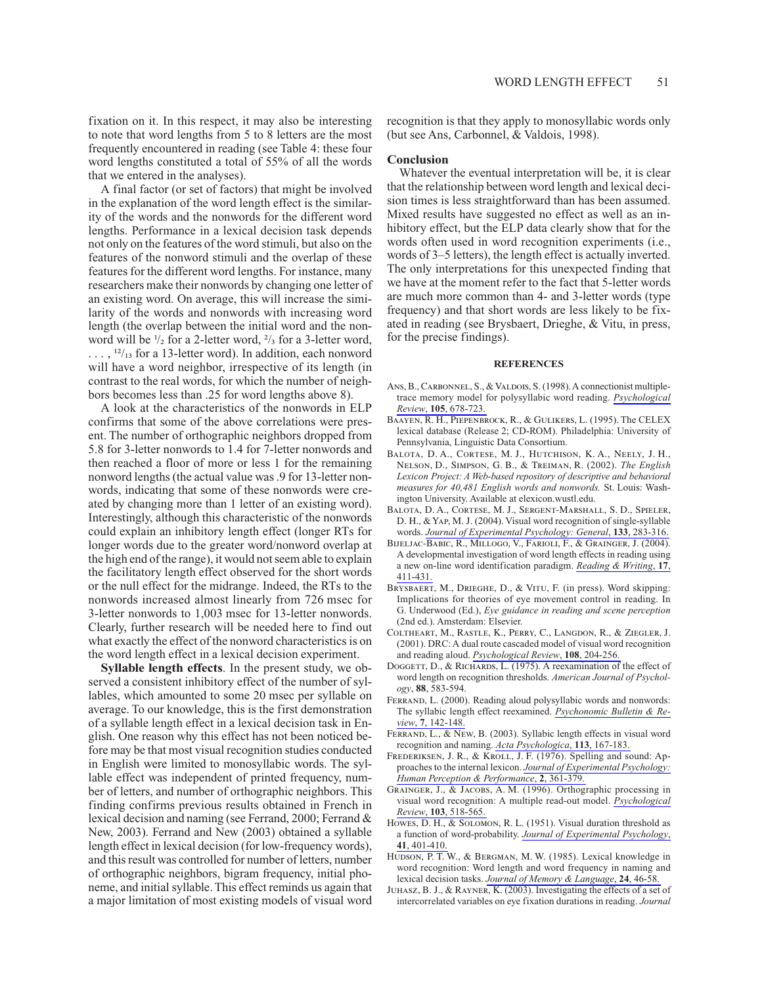fixation on it. In this respect, it may also be interesting to note that word lengths from 5 to 8 letters are the most frequently encountered in reading (see Table 4: these four word lengths constituted a total of 55% of all the words that we entered in the analyses).

A final factor (or set of factors) that might be involved in the explanation of the word length effect is the similarity of the words and the nonwords for the different word lengths. Performance in a lexical decision task depends not only on the features of the word stimuli, but also on the features of the nonword stimuli and the overlap of these features for the different word lengths. For instance, many researchers make their nonwords by changing one letter of an existing word. On average, this will increase the similarity of the words and nonwords with increasing word length (the overlap between the initial word and the nonword will be  $\frac{1}{2}$  for a 2-letter word,  $\frac{2}{3}$  for a 3-letter word,  $\ldots$ ,  $\frac{12}{13}$  for a 13-letter word). In addition, each nonword will have a word neighbor, irrespective of its length (in contrast to the real words, for which the number of neighbors becomes less than .25 for word lengths above 8).

A look at the characteristics of the nonwords in ELP confirms that some of the above correlations were present. The number of orthographic neighbors dropped from 5.8 for 3-letter nonwords to 1.4 for 7-letter nonwords and then reached a floor of more or less 1 for the remaining nonword lengths (the actual value was .9 for 13-letter nonwords, indicating that some of these nonwords were created by changing more than 1 letter of an existing word). Interestingly, although this characteristic of the nonwords could explain an inhibitory length effect (longer RTs for longer words due to the greater word/nonword overlap at the high end of the range), it would not seem able to explain the facilitatory length effect observed for the short words or the null effect for the midrange. Indeed, the RTs to the nonwords increased almost linearly from 726 msec for 3-letter nonwords to 1,003 msec for 13-letter nonwords. Clearly, further research will be needed here to find out what exactly the effect of the nonword characteristics is on the word length effect in a lexical decision experiment.

**Syllable length effects**. In the present study, we observed a consistent inhibitory effect of the number of syllables, which amounted to some 20 msec per syllable on average. To our knowledge, this is the first demonstration of a syllable length effect in a lexical decision task in English. One reason why this effect has not been noticed before may be that most visual recognition studies conducted in English were limited to monosyllabic words. The syllable effect was independent of printed frequency, number of letters, and number of orthographic neighbors. This finding confirms previous results obtained in French in lexical decision and naming (see Ferrand, 2000; Ferrand & New, 2003). Ferrand and New (2003) obtained a syllable length effect in lexical decision (for low-frequency words), and this result was controlled for number of letters, number of orthographic neighbors, bigram frequency, initial phoneme, and initial syllable. This effect reminds us again that a major limitation of most existing models of visual word

recognition is that they apply to monosyllabic words only (but see Ans, Carbonnel, & Valdois, 1998).

#### **Conclusion**

Whatever the eventual interpretation will be, it is clear that the relationship between word length and lexical decision times is less straightforward than has been assumed. Mixed results have suggested no effect as well as an inhibitory effect, but the ELP data clearly show that for the words often used in word recognition experiments (i.e., words of 3–5 letters), the length effect is actually inverted. The only interpretations for this unexpected finding that we have at the moment refer to the fact that 5-letter words are much more common than 4- and 3-letter words (type) frequency) and that short words are less likely to be fixated in reading (see Brysbaert, Drieghe, & Vitu, in press, for the precise findings).

#### **REFERENCES**

- ANS, B., CARBONNEL, S., & VALDOIS, S. (1998). A connectionist multipletrace memory model for polysyllabic word reading. Psychological Review, 105, 678-723.
- BAAYEN, R. H., PIEPENBROCK, R., & GULIKERS, L. (1995). The CELEX lexical database (Release 2; CD-ROM). Philadelphia: University of Pennsylvania, Linguistic Data Consortium.
- BALOTA, D. A., CORTESE, M. J., HUTCHISON, K. A., NEELY, J. H., NELSON, D., SIMPSON, G. B., & TREIMAN, R. (2002). The English Lexicon Project: A Web-based repository of descriptive and behavioral measures for 40,481 English words and nonwords. St. Louis: Washington University. Available at elexicon.wustl.edu.
- BALOTA, D. A., CORTESE, M. J., SERGENT-MARSHALL, S. D., SPIELER, D. H., & YAP, M. J. (2004). Visual word recognition of single-syllable words. Journal of Experimental Psychology: General, 133, 283-316.
- BIJELJAC-BABIC, R., MILLOGO, V., FARIOLI, F., & GRAINGER, J. (2004). A developmental investigation of word length effects in reading using a new on-line word identification paradigm. Reading & Writing, 17, 411-431.
- BRYSBAERT, M., DRIEGHE, D., & VITU, F. (in press). Word skipping: Implications for theories of eye movement control in reading. In G. Underwood (Ed.), Eye guidance in reading and scene perception (2nd ed.). Amsterdam: Elsevier.
- COLTHEART, M., RASTLE, K., PERRY, C., LANGDON, R., & ZIEGLER, J. (2001). DRC: A dual route cascaded model of visual word recognition and reading aloud. Psychological Review, 108, 204-256.
- DOGGETT, D., & RICHARDS, L. (1975). A reexamination of the effect of word length on recognition thresholds. American Journal of Psychology, 88, 583-594.
- FERRAND, L. (2000). Reading aloud polysyllabic words and nonwords: The syllabic length effect reexamined. Psychonomic Bulletin & Review, 7, 142-148.
- FERRAND, L., & NEW, B. (2003). Syllabic length effects in visual word recognition and naming. Acta Psychologica, 113, 167-183.
- FREDERIKSEN, J. R., & KROLL, J. F. (1976). Spelling and sound: Approaches to the internal lexicon. Journal of Experimental Psychology: Human Perception & Performance, 2, 361-379.
- GRAINGER, J., & JACOBS, A. M. (1996). Orthographic processing in visual word recognition: A multiple read-out model. Psychological Review, 103, 518-565.
- Howes, D. H., & SOLOMON, R. L. (1951). Visual duration threshold as a function of word-probability. Journal of Experimental Psychology, 41 401-410
- HUDSON, P. T. W., & BERGMAN, M. W. (1985). Lexical knowledge in word recognition: Word length and word frequency in naming and lexical decision tasks. Journal of Memory & Language, 24, 46-58.
- JUHASZ, B. J., & RAYNER, K. (2003). Investigating the effects of a set of intercorrelated variables on eye fixation durations in reading. Journal